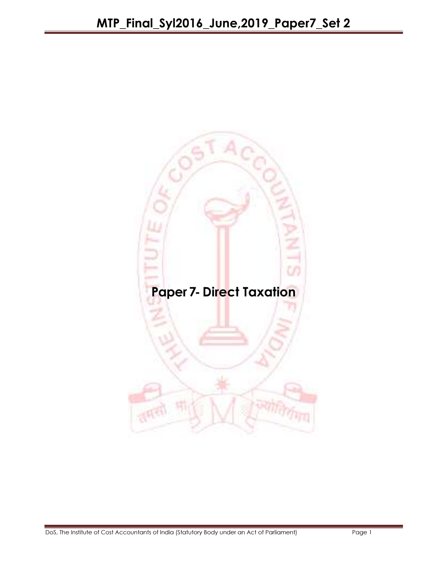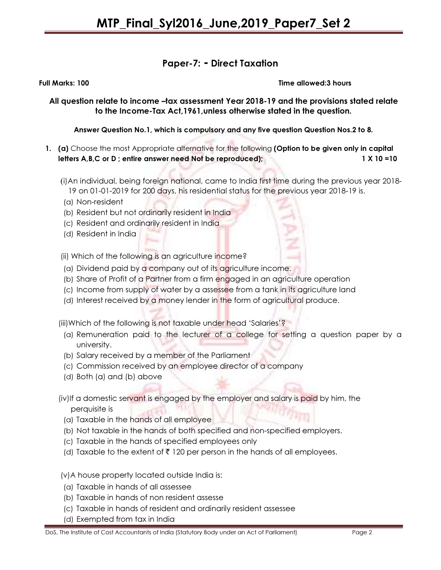#### Paper-7: - Direct Taxation

Full Marks: 100 Time allowed:3 hours

All question relate to income -tax assessment Year 2018-19 and the provisions stated relate to the Income-Tax Act,1961,unless otherwise stated in the question.

Answer Question No.1, which is compulsory and any five question Question Nos.2 to 8.

- 1. (a) Choose the most Appropriate alternative for the following (Option to be given only in capital letters A,B,C or D; entire answer need Not be reproduced); 1 X 10 =10
	- (i)An individual, being foreign national, came to India first time during the previous year 2018- 19 on 01-01-2019 for 200 days, his residential status for the previous year 2018-19 is.
	- (a) Non-resident
	- (b) Resident but not ordinarily resident in India
	- (c) Resident and ordinarily resident in India
	- (d) Resident in India

(ii) Which of the following is an agriculture income?

- (a) Dividend paid by a company out of its agriculture income.
- (b) Share of Profit of a Partner from a firm engaged in an agriculture operation
- (c) Income from supply of water by a assessee from a tank in its agriculture land
- (d) Interest received by a money lender in the form of agricultural produce.

(iii)Which of the following is not taxable under head 'Salaries'?

- (a) Remuneration paid to the lecturer of a college for setting a question paper by a university.
- (b) Salary received by a member of the Parliament
- (c) Commission received by an employee director of a company
- (d) Both (a) and (b) above

(iv)If a domestic servant is engaged by the employer and salary is paid by him, the perquisite is

- (a) Taxable in the hands of all employee
- (b) Not taxable in the hands of both specified and non-specified employers.
- (c) Taxable in the hands of specified employees only
- (d) Taxable to the extent of  $\bar{\tau}$  120 per person in the hands of all employees.
- (v)A house property located outside India is:
- (a) Taxable in hands of all assessee
- (b) Taxable in hands of non resident assesse
- (c) Taxable in hands of resident and ordinarily resident assessee
- (d) Exempted from tax in India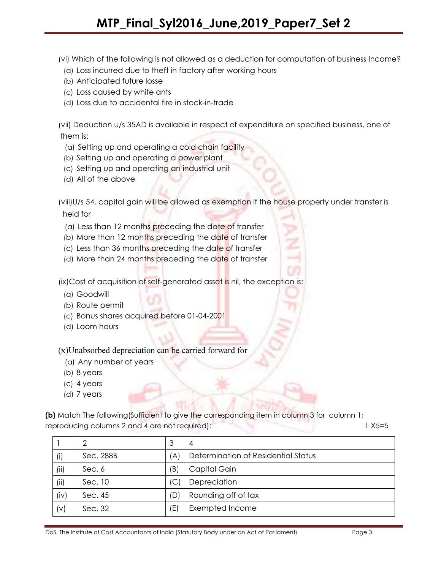(vi) Which of the following is not allowed as a deduction for computation of business Income?

- (a) Loss incurred due to theft in factory after working hours
- (b) Anticipated future losse
- (c) Loss caused by white ants
- (d) Loss due to accidental fire in stock-in-trade

(vii) Deduction u/s 35AD is available in respect of expenditure on specified business, one of them is:

- (a) Setting up and operating a cold chain facility
- (b) Setting up and operating a power plant
- (c) Setting up and operating an industrial unit
- (d) All of the above

(viii)U/s 54, capital gain will be allowed as exemption if the house property under transfer is held for

- (a) Less than 12 months preceding the date of transfer
- (b) More than 12 months preceding the date of transfer
- (c) Less than 36 months preceding the date of transfer
- (d) More than 24 months preceding the date of transfer

(ix)Cost of acquisition of self-generated asset is nil, the exception is:

- (a) Goodwill
- (b) Route permit
- (c) Bonus shares acquired before 01-04-2001
- (d) Loom hours

(x)Unabsorbed depreciation can be carried forward for

- (a) Any number of years
- (b) 8 years
- (c) 4 years
- (d) 7 years

(b) Match The following(Sufficient to give the corresponding item in column 3 for column 1; reproducing columns 2 and 4 are not required): 1 X5=5

|      | 2         | 3        | 4                                   |
|------|-----------|----------|-------------------------------------|
| (i)  | Sec. 288B | $\Delta$ | Determination of Residential Status |
| (i)  | Sec. 6    | (B)      | Capital Gain                        |
| (ii) | Sec. 10   |          | Depreciation                        |
| (iv) | Sec. 45   | (D)      | Rounding off of tax                 |
| (v)  | Sec. 32   | (E)      | Exempted Income                     |

DoS, The Institute of Cost Accountants of India (Statutory Body under an Act of Parliament) Page 3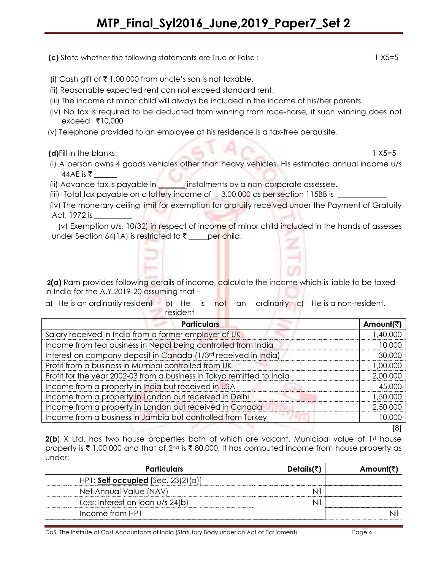(c) State whether the following statements are True or False :  $1 \times 5 = 5$ 

- (i) Cash gift of  $\bar{\tau}$  1,00,000 from uncle's son is not taxable.
- (ii) Reasonable expected rent can not exceed standard rent.
- (iii) The income of minor child will always be included in the income of his/her parents.
- (iv) No tax is required to be deducted from winning from race-horse, if such winning does not exceed  $\bar{\tau}$ 10,000
- (v) Telephone provided to an employee at his residence is a tax-free perquisite.

(d)Fill in the blanks: 1 X5=5

- (i) A person owns 4 goods vehicles other than heavy vehicles. His estimated annual income u/s 44AE is ₹
- (ii) Advance tax is payable in \_\_\_\_\_\_\_ instalments by a non-corporate assessee.
- (iii) Total tax payable on a lottery income of  $\Box$  3,00,000 as per section 115BB is

 (iv) The monetary ceiling limit for exemption for gratuity received under the Payment of Gratuity Act, 1972 is \_\_\_\_\_\_\_\_\_\_

 (v) Exemption u/s. 10(32) in respect of income of minor child included in the hands of assesses under Section 64(1A) is restricted to  $\bar{\tau}$  \_\_\_\_per child.

 2(a) Ram provides following details of income, calculate the income which is liable to be taxed in India for the A.Y.2019-20 assuming that –

a) He is an ordinarily resident b) He is not an **resident** ordinarily c) He is a non-resident.

| <b>Particulars</b>                                                     | Amount(₹) |
|------------------------------------------------------------------------|-----------|
| Salary received in India from a former employer of UK                  | 1,40,000  |
| Income from tea business in Nepal being controlled from India          | 10,000    |
| Interest on company deposit in Canada (1/3rd received in India)        | 30,000    |
| Profit from a business in Mumbai controlled from UK                    | 00,000,1  |
| Profit for the year 2002-03 from a business in Tokyo remitted to India | 2,00,000  |
| Income from a property in India but received in USA                    | 45,000    |
| Income from a property in London but received in Delhi                 | 1,50,000  |
| Income from a property in London but received in Canada                | 2,50,000  |
| Income from a business in Jambia but controlled from Turkey            | 10,000    |
|                                                                        |           |

2(b) X Ltd. has two house properties both of which are vacant. Municipal value of 1st house property is  $\bar{\tau}$  1,00,000 and that of 2<sup>nd</sup> is  $\bar{\tau}$  80,000. It has computed income from house property as under:

| <b>Particulars</b>                   | Details(₹ | Amount(₹) |
|--------------------------------------|-----------|-----------|
| HP1: Self occupied $[Sec. 23(2)(a)]$ |           |           |
| Net Annual Value (NAV)               |           |           |
| Less: Interest on loan $u/s$ 24(b)   |           |           |
| Income from HP1                      |           |           |

DoS, The Institute of Cost Accountants of India (Statutory Body under an Act of Parliament) Page 4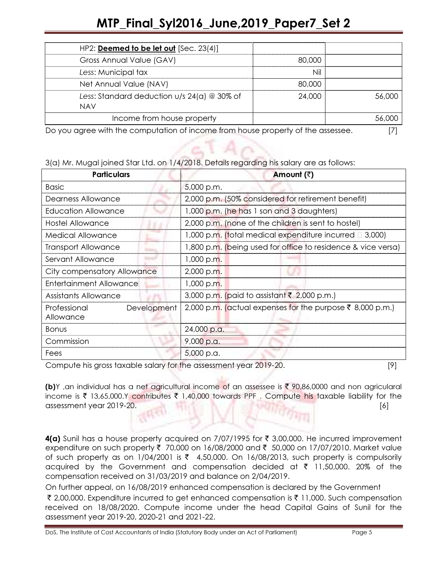| HP2: <b>Deemed to be let out</b> $[Sec. 23(4)]$               |        |  |
|---------------------------------------------------------------|--------|--|
| Gross Annual Value (GAV)                                      | 80.000 |  |
| Less: Municipal tax                                           |        |  |
| Net Annual Value (NAV)                                        | 80,000 |  |
| Less: Standard deduction $u/s$ 24(a) $@$ 30% of<br><b>NAV</b> | 24,000 |  |
| Income from house property                                    |        |  |
|                                                               |        |  |

Do you agree with the computation of income from house property of the assessee. [7]

3(a) Mr. Mugal joined Star Ltd. on 1/4/2018. Details regarding his salary are as follows:

| <b>Particulars</b>                       | Amount (₹)                                                   |  |
|------------------------------------------|--------------------------------------------------------------|--|
| <b>Basic</b>                             | 5,000 p.m.                                                   |  |
| Dearness Allowance                       | 2,000 p.m. (50% considered for retirement benefit)           |  |
| Education Allowance                      | 1,000 p.m. (he has 1 son and 3 daughters)                    |  |
| Hostel Allowance                         | 2,000 p.m. (none of the children is sent to hostel)          |  |
| <b>Medical Allowance</b>                 | 1,000 p.m. (total medical expenditure incurred $\Box$ 3,000) |  |
| <b>Transport Allowance</b>               | 1,800 p.m. (being used for office to residence & vice versa) |  |
| Servant Allowance                        | 1,000 p.m.                                                   |  |
| City compensatory Allowance              | 2,000 p.m.                                                   |  |
| <b>Entertainment Allowance</b>           | 1,000 p.m.                                                   |  |
| Assistants Allowance                     | 3,000 p.m. (paid to assistant ₹ 2,000 p.m.)                  |  |
| Development<br>Professional<br>Allowance | 2,000 p.m. (actual expenses for the purpose ₹ 8,000 p.m.)    |  |
| <b>Bonus</b>                             | 24,000 p.a.                                                  |  |
| Commission                               | 9,000 p.a.                                                   |  |
| Fees                                     | 5,000 p.a.                                                   |  |

Compute his gross taxable salary for the assessment year 2019-20. [9]

(b)Y, an individual has a net agricultural income of an assessee is  $\bar{\tau}$  90,86,0000 and non agricularal income is  $\bar{\tau}$  13,65,000.Y contributes  $\bar{\tau}$  1,40,000 towards PPF. Compute his taxable liability for the assessment year 2019-20. [6]

4(a) Sunil has a house property acquired on 7/07/1995 for  $\bar{\tau}$  3,00,000. He incurred improvement expenditure on such property ₹ 70,000 on 16/08/2000 and ₹ 50,000 on 17/07/2010. Market value of such property as on  $1/04/2001$  is  $\overline{\zeta}$  4,50,000. On 16/08/2013, such property is compulsorily acquired by the Government and compensation decided at  $\bar{\tau}$  11,50,000. 20% of the compensation received on 31/03/2019 and balance on 2/04/2019.

On further appeal, on 16/08/2019 enhanced compensation is declared by the Government

₹ 2,00,000. Expenditure incurred to get enhanced compensation is ₹ 11,000. Such compensation received on 18/08/2020. Compute income under the head Capital Gains of Sunil for the assessment year 2019-20, 2020-21 and 2021-22.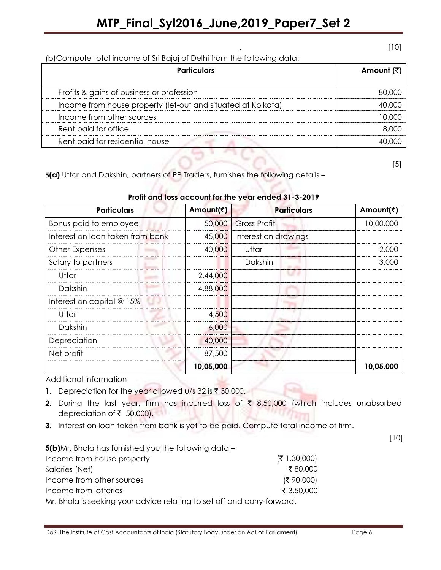(b)Compute total income of Sri Bajaj of Delhi from the following data:

| <b>Particulars</b>                                           | Amount (₹) |
|--------------------------------------------------------------|------------|
| Profits & gains of business or profession                    | 80.000     |
| Income from house property (let-out and situated at Kolkata) |            |
| Income from other sources                                    |            |
| Rent paid for office                                         |            |
| Rent paid for residential house                              |            |

[5]

5(a) Uttar and Dakshin, partners of PP Traders, furnishes the following details –

| Profit and loss account for the year ended 31-3-2019 |
|------------------------------------------------------|

a shekara

| <b>Particulars</b>               | Amount(₹) | <b>Particulars</b>   | Amount(₹) |
|----------------------------------|-----------|----------------------|-----------|
| Bonus paid to employee           | 50,000    | <b>Gross Profit</b>  | 10,00,000 |
| Interest on loan taken from bank | 45,000    | Interest on drawings |           |
| Other Expenses                   | 40,000    | Uttar                | 2,000     |
| Salary to partners               |           | Dakshin              | 3.000     |
| Uttar                            | 2,44,000  |                      |           |
| Dakshin                          | 4,88,000  |                      |           |
| Interest on capital $@15%$       |           |                      |           |
| Uttar                            | 4,500     |                      |           |
| Dakshin                          | 6,000     |                      |           |
| Depreciation                     | 40,000    |                      |           |
| Net profit                       | 87,500    |                      |           |
|                                  | 10,05,000 |                      | 10,05,000 |

Additional information

1. Depreciation for the year allowed u/s 32 is  $\bar{\tau}$  30,000.

- 2. During the last year, firm has incurred loss of  $\bar{\tau}$  8,50,000 (which includes unabsorbed depreciation of  $\bar{\tau}$  50,000).
- 3. Interest on loan taken from bank is yet to be paid. Compute total income of firm.

5(b)Mr. Bhola has furnished you the following data –

| Income from house property | ( ₹ 1,30,000) |
|----------------------------|---------------|
| Salaries (Net)             | ₹80.000       |
| Income from other sources  | (5,90,000)    |
| Income from lotteries      | ₹ 3,50,000    |
|                            |               |

Mr. Bhola is seeking your advice relating to set off and carry-forward.

. [10]

[10]